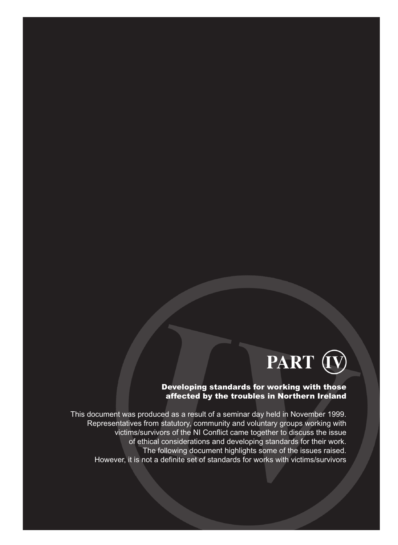

#### Developing standards for working with those affected by the troubles in Northern Ireland

This document was produced as a result of a seminar day held in November 1999. Representatives from statutory, community and voluntary groups working with victims/survivors of the NI Conflict came together to discuss the issue of ethical considerations and developing standards for their work. The following document highlights some of the issues raised. However, it is not a definite set of standards for works with victims/survivors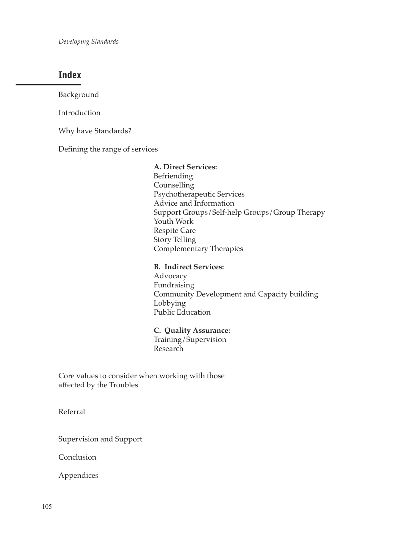*Developing Standards*

## **Index**

Background

Introduction

Why have Standards?

Defining the range of services

**A. Direct Services:** Befriending Counselling Psychotherapeutic Services Advice and Information Support Groups/Self-help Groups/Group Therapy Youth Work Respite Care Story Telling Complementary Therapies

#### **B. Indirect Services:**

Advocacy Fundraising Community Development and Capacity building Lobbying Public Education

**C. Quality Assurance:** Training/Supervision Research

Core values to consider when working with those affected by the Troubles

Referral

Supervision and Support

Conclusion

Appendices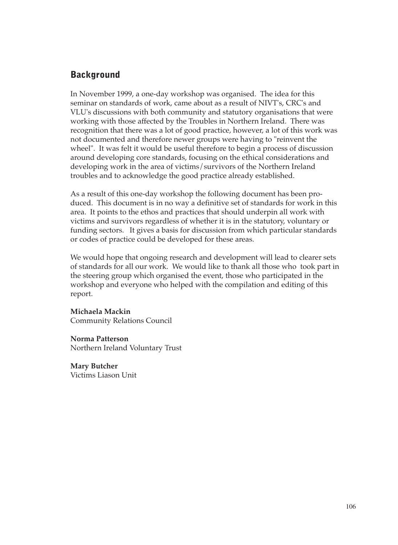# **Background**

In November 1999, a one-day workshop was organised. The idea for this seminar on standards of work, came about as a result of NIVT's, CRC's and VLU's discussions with both community and statutory organisations that were working with those affected by the Troubles in Northern Ireland. There was recognition that there was a lot of good practice, however, a lot of this work was not documented and therefore newer groups were having to "reinvent the wheel". It was felt it would be useful therefore to begin a process of discussion around developing core standards, focusing on the ethical considerations and developing work in the area of victims/survivors of the Northern Ireland troubles and to acknowledge the good practice already established.

As a result of this one-day workshop the following document has been produced. This document is in no way a definitive set of standards for work in this area. It points to the ethos and practices that should underpin all work with victims and survivors regardless of whether it is in the statutory, voluntary or funding sectors. It gives a basis for discussion from which particular standards or codes of practice could be developed for these areas.

We would hope that ongoing research and development will lead to clearer sets of standards for all our work. We would like to thank all those who took part in the steering group which organised the event, those who participated in the workshop and everyone who helped with the compilation and editing of this report.

**Michaela Mackin**

Community Relations Council

**Norma Patterson** Northern Ireland Voluntary Trust

**Mary Butcher** Victims Liason Unit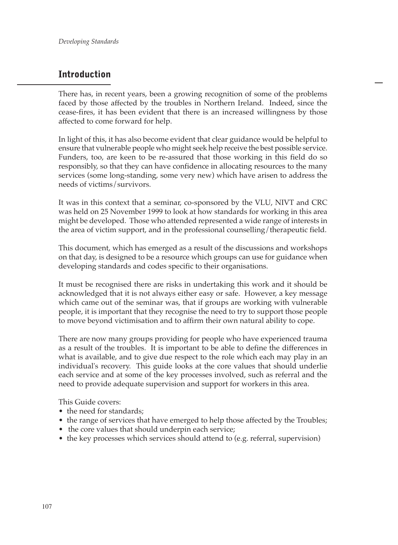# **Introduction**

There has, in recent years, been a growing recognition of some of the problems faced by those affected by the troubles in Northern Ireland. Indeed, since the cease-fires, it has been evident that there is an increased willingness by those affected to come forward for help.

In light of this, it has also become evident that clear guidance would be helpful to ensure that vulnerable people who might seek help receive the best possible service. Funders, too, are keen to be re-assured that those working in this field do so responsibly, so that they can have confidence in allocating resources to the many services (some long-standing, some very new) which have arisen to address the needs of victims/survivors.

It was in this context that a seminar, co-sponsored by the VLU, NIVT and CRC was held on 25 November 1999 to look at how standards for working in this area might be developed. Those who attended represented a wide range of interests in the area of victim support, and in the professional counselling/therapeutic field.

This document, which has emerged as a result of the discussions and workshops on that day, is designed to be a resource which groups can use for guidance when developing standards and codes specific to their organisations.

It must be recognised there are risks in undertaking this work and it should be acknowledged that it is not always either easy or safe. However, a key message which came out of the seminar was, that if groups are working with vulnerable people, it is important that they recognise the need to try to support those people to move beyond victimisation and to affirm their own natural ability to cope.

There are now many groups providing for people who have experienced trauma as a result of the troubles. It is important to be able to define the differences in what is available, and to give due respect to the role which each may play in an individual's recovery. This guide looks at the core values that should underlie each service and at some of the key processes involved, such as referral and the need to provide adequate supervision and support for workers in this area.

This Guide covers:

- the need for standards;
- the range of services that have emerged to help those affected by the Troubles;
- the core values that should underpin each service;
- the key processes which services should attend to (e.g. referral, supervision)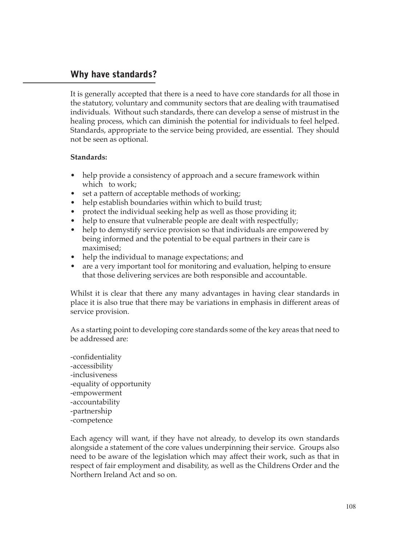## **Why have standards?**

It is generally accepted that there is a need to have core standards for all those in the statutory, voluntary and community sectors that are dealing with traumatised individuals. Without such standards, there can develop a sense of mistrust in the healing process, which can diminish the potential for individuals to feel helped. Standards, appropriate to the service being provided, are essential. They should not be seen as optional.

#### **Standards:**

- help provide a consistency of approach and a secure framework within which to work;
- set a pattern of acceptable methods of working;
- help establish boundaries within which to build trust;
- protect the individual seeking help as well as those providing it;
- help to ensure that vulnerable people are dealt with respectfully;
- help to demystify service provision so that individuals are empowered by being informed and the potential to be equal partners in their care is maximised;
- help the individual to manage expectations; and
- are a very important tool for monitoring and evaluation, helping to ensure that those delivering services are both responsible and accountable.

Whilst it is clear that there any many advantages in having clear standards in place it is also true that there may be variations in emphasis in different areas of service provision.

As a starting point to developing core standards some of the key areas that need to be addressed are:

-confidentiality -accessibility -inclusiveness -equality of opportunity -empowerment -accountability -partnership -competence

Each agency will want, if they have not already, to develop its own standards alongside a statement of the core values underpinning their service. Groups also need to be aware of the legislation which may affect their work, such as that in respect of fair employment and disability, as well as the Childrens Order and the Northern Ireland Act and so on.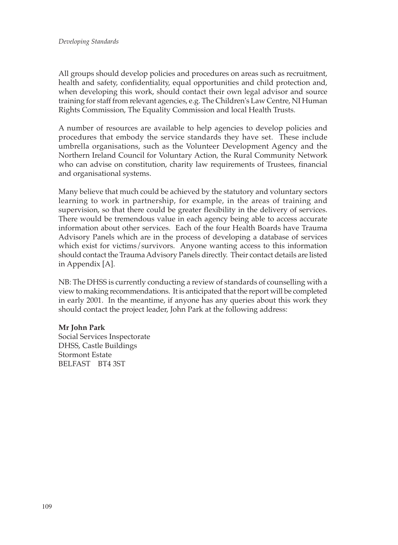All groups should develop policies and procedures on areas such as recruitment, health and safety, confidentiality, equal opportunities and child protection and, when developing this work, should contact their own legal advisor and source training for staff from relevant agencies, e.g. The Children's Law Centre, NI Human Rights Commission, The Equality Commission and local Health Trusts.

A number of resources are available to help agencies to develop policies and procedures that embody the service standards they have set. These include umbrella organisations, such as the Volunteer Development Agency and the Northern Ireland Council for Voluntary Action, the Rural Community Network who can advise on constitution, charity law requirements of Trustees, financial and organisational systems.

Many believe that much could be achieved by the statutory and voluntary sectors learning to work in partnership, for example, in the areas of training and supervision, so that there could be greater flexibility in the delivery of services. There would be tremendous value in each agency being able to access accurate information about other services. Each of the four Health Boards have Trauma Advisory Panels which are in the process of developing a database of services which exist for victims/survivors. Anyone wanting access to this information should contact the Trauma Advisory Panels directly. Their contact details are listed in Appendix [A].

NB: The DHSS is currently conducting a review of standards of counselling with a view to making recommendations. It is anticipated that the report will be completed in early 2001. In the meantime, if anyone has any queries about this work they should contact the project leader, John Park at the following address:

#### **Mr John Park**

Social Services Inspectorate DHSS, Castle Buildings Stormont Estate BELFAST BT4 3ST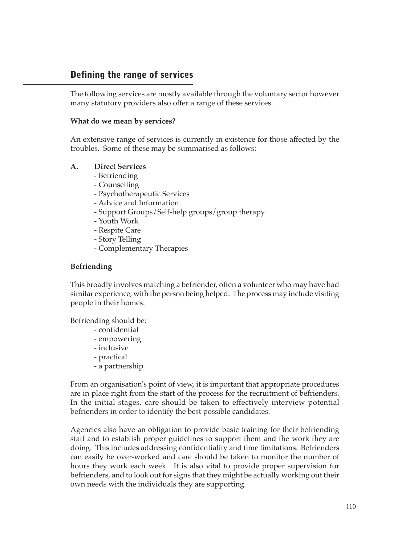# **Defining the range of services**

The following services are mostly available through the voluntary sector however many statutory providers also offer a range of these services.

#### **What do we mean by services?**

An extensive range of services is currently in existence for those affected by the troubles. Some of these may be summarised as follows:

#### **A. Direct Services**

- Befriending
- Counselling
- Psychotherapeutic Services
- Advice and Information
- Support Groups/Self-help groups/group therapy
- Youth Work
- Respite Care
- Story Telling
- Complementary Therapies

### **Befriending**

This broadly involves matching a befriender, often a volunteer who may have had similar experience, with the person being helped. The process may include visiting people in their homes.

Befriending should be:

- confidential
- empowering
- inclusive
- practical
- a partnership

From an organisation's point of view, it is important that appropriate procedures are in place right from the start of the process for the recruitment of befrienders. In the initial stages, care should be taken to effectively interview potential befrienders in order to identify the best possible candidates.

Agencies also have an obligation to provide basic training for their befriending staff and to establish proper guidelines to support them and the work they are doing. This includes addressing confidentiality and time limitations. Befrienders can easily be over-worked and care should be taken to monitor the number of hours they work each week. It is also vital to provide proper supervision for befrienders, and to look out for signs that they might be actually working out their own needs with the individuals they are supporting.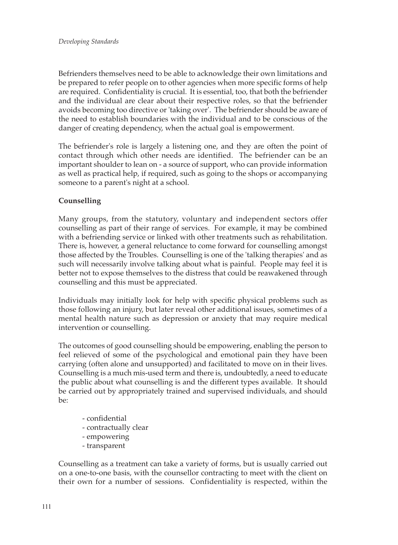Befrienders themselves need to be able to acknowledge their own limitations and be prepared to refer people on to other agencies when more specific forms of help are required. Confidentiality is crucial. It is essential, too, that both the befriender and the individual are clear about their respective roles, so that the befriender avoids becoming too directive or 'taking over'. The befriender should be aware of the need to establish boundaries with the individual and to be conscious of the danger of creating dependency, when the actual goal is empowerment.

The befriender's role is largely a listening one, and they are often the point of contact through which other needs are identified. The befriender can be an important shoulder to lean on - a source of support, who can provide information as well as practical help, if required, such as going to the shops or accompanying someone to a parent's night at a school.

## **Counselling**

Many groups, from the statutory, voluntary and independent sectors offer counselling as part of their range of services. For example, it may be combined with a befriending service or linked with other treatments such as rehabilitation. There is, however, a general reluctance to come forward for counselling amongst those affected by the Troubles. Counselling is one of the 'talking therapies' and as such will necessarily involve talking about what is painful. People may feel it is better not to expose themselves to the distress that could be reawakened through counselling and this must be appreciated.

Individuals may initially look for help with specific physical problems such as those following an injury, but later reveal other additional issues, sometimes of a mental health nature such as depression or anxiety that may require medical intervention or counselling.

The outcomes of good counselling should be empowering, enabling the person to feel relieved of some of the psychological and emotional pain they have been carrying (often alone and unsupported) and facilitated to move on in their lives. Counselling is a much mis-used term and there is, undoubtedly, a need to educate the public about what counselling is and the different types available. It should be carried out by appropriately trained and supervised individuals, and should be:

- confidential
- contractually clear
- empowering
- transparent

Counselling as a treatment can take a variety of forms, but is usually carried out on a one-to-one basis, with the counsellor contracting to meet with the client on their own for a number of sessions. Confidentiality is respected, within the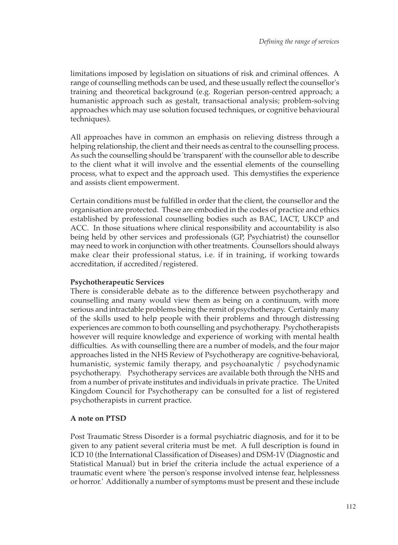limitations imposed by legislation on situations of risk and criminal offences. A range of counselling methods can be used, and these usually reflect the counsellor's training and theoretical background (e.g. Rogerian person-centred approach; a humanistic approach such as gestalt, transactional analysis; problem-solving approaches which may use solution focused techniques, or cognitive behavioural techniques).

All approaches have in common an emphasis on relieving distress through a helping relationship, the client and their needs as central to the counselling process. As such the counselling should be 'transparent' with the counsellor able to describe to the client what it will involve and the essential elements of the counselling process, what to expect and the approach used. This demystifies the experience and assists client empowerment.

Certain conditions must be fulfilled in order that the client, the counsellor and the organisation are protected. These are embodied in the codes of practice and ethics established by professional counselling bodies such as BAC, IACT, UKCP and ACC. In those situations where clinical responsibility and accountability is also being held by other services and professionals (GP, Psychiatrist) the counsellor may need to work in conjunction with other treatments. Counsellors should always make clear their professional status, i.e. if in training, if working towards accreditation, if accredited/registered.

#### **Psychotherapeutic Services**

There is considerable debate as to the difference between psychotherapy and counselling and many would view them as being on a continuum, with more serious and intractable problems being the remit of psychotherapy. Certainly many of the skills used to help people with their problems and through distressing experiences are common to both counselling and psychotherapy. Psychotherapists however will require knowledge and experience of working with mental health difficulties. As with counselling there are a number of models, and the four major approaches listed in the NHS Review of Psychotherapy are cognitive-behavioral, humanistic, systemic family therapy, and psychoanalytic / psychodynamic psychotherapy. Psychotherapy services are available both through the NHS and from a number of private institutes and individuals in private practice. The United Kingdom Council for Psychotherapy can be consulted for a list of registered psychotherapists in current practice.

#### **A note on PTSD**

Post Traumatic Stress Disorder is a formal psychiatric diagnosis, and for it to be given to any patient several criteria must be met. A full description is found in ICD 10 (the International Classification of Diseases) and DSM-1V (Diagnostic and Statistical Manual) but in brief the criteria include the actual experience of a traumatic event where 'the person's response involved intense fear, helplessness or horror.' Additionally a number of symptoms must be present and these include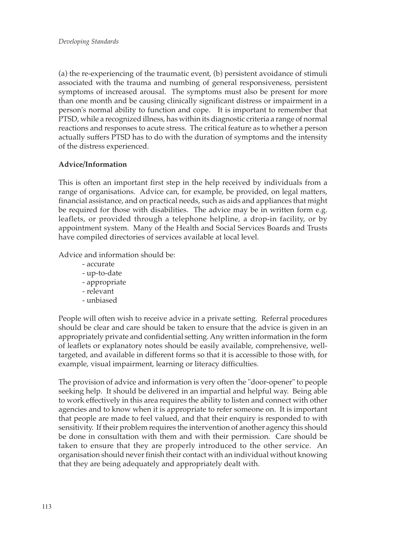(a) the re-experiencing of the traumatic event, (b) persistent avoidance of stimuli associated with the trauma and numbing of general responsiveness, persistent symptoms of increased arousal. The symptoms must also be present for more than one month and be causing clinically significant distress or impairment in a person's normal ability to function and cope. It is important to remember that PTSD, while a recognized illness, has within its diagnostic criteria a range of normal reactions and responses to acute stress. The critical feature as to whether a person actually suffers PTSD has to do with the duration of symptoms and the intensity of the distress experienced.

### **Advice/Information**

This is often an important first step in the help received by individuals from a range of organisations. Advice can, for example, be provided, on legal matters, financial assistance, and on practical needs, such as aids and appliances that might be required for those with disabilities. The advice may be in written form e.g. leaflets, or provided through a telephone helpline, a drop-in facility, or by appointment system. Many of the Health and Social Services Boards and Trusts have compiled directories of services available at local level.

Advice and information should be:

- accurate
- up-to-date
- appropriate
- relevant
- unbiased

People will often wish to receive advice in a private setting. Referral procedures should be clear and care should be taken to ensure that the advice is given in an appropriately private and confidential setting. Any written information in the form of leaflets or explanatory notes should be easily available, comprehensive, welltargeted, and available in different forms so that it is accessible to those with, for example, visual impairment, learning or literacy difficulties.

The provision of advice and information is very often the "door-opener" to people seeking help. It should be delivered in an impartial and helpful way. Being able to work effectively in this area requires the ability to listen and connect with other agencies and to know when it is appropriate to refer someone on. It is important that people are made to feel valued, and that their enquiry is responded to with sensitivity. If their problem requires the intervention of another agency this should be done in consultation with them and with their permission. Care should be taken to ensure that they are properly introduced to the other service. An organisation should never finish their contact with an individual without knowing that they are being adequately and appropriately dealt with.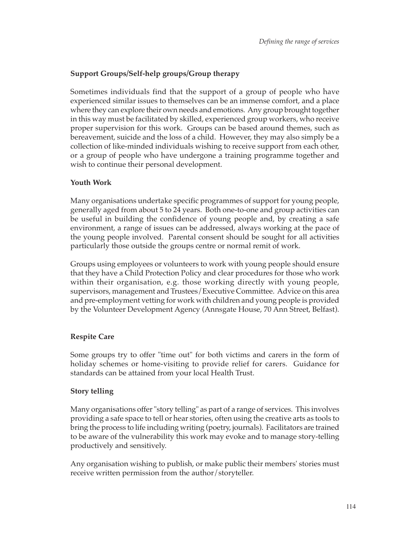## **Support Groups/Self-help groups/Group therapy**

Sometimes individuals find that the support of a group of people who have experienced similar issues to themselves can be an immense comfort, and a place where they can explore their own needs and emotions. Any group brought together in this way must be facilitated by skilled, experienced group workers, who receive proper supervision for this work. Groups can be based around themes, such as bereavement, suicide and the loss of a child. However, they may also simply be a collection of like-minded individuals wishing to receive support from each other, or a group of people who have undergone a training programme together and wish to continue their personal development.

### **Youth Work**

Many organisations undertake specific programmes of support for young people, generally aged from about 5 to 24 years. Both one-to-one and group activities can be useful in building the confidence of young people and, by creating a safe environment, a range of issues can be addressed, always working at the pace of the young people involved. Parental consent should be sought for all activities particularly those outside the groups centre or normal remit of work.

Groups using employees or volunteers to work with young people should ensure that they have a Child Protection Policy and clear procedures for those who work within their organisation, e.g. those working directly with young people, supervisors, management and Trustees/Executive Committee. Advice on this area and pre-employment vetting for work with children and young people is provided by the Volunteer Development Agency (Annsgate House, 70 Ann Street, Belfast).

## **Respite Care**

Some groups try to offer "time out" for both victims and carers in the form of holiday schemes or home-visiting to provide relief for carers. Guidance for standards can be attained from your local Health Trust.

## **Story telling**

Many organisations offer "story telling" as part of a range of services. This involves providing a safe space to tell or hear stories, often using the creative arts as tools to bring the process to life including writing (poetry, journals). Facilitators are trained to be aware of the vulnerability this work may evoke and to manage story-telling productively and sensitively.

Any organisation wishing to publish, or make public their members' stories must receive written permission from the author/storyteller.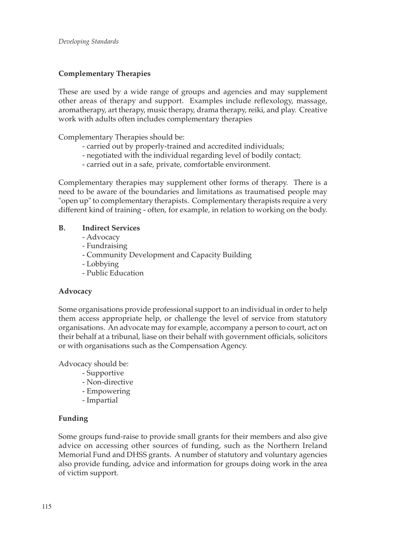## **Complementary Therapies**

These are used by a wide range of groups and agencies and may supplement other areas of therapy and support. Examples include reflexology, massage, aromatherapy, art therapy, music therapy, drama therapy, reiki, and play. Creative work with adults often includes complementary therapies

Complementary Therapies should be:

- carried out by properly-trained and accredited individuals;
- negotiated with the individual regarding level of bodily contact;
- carried out in a safe, private, comfortable environment.

Complementary therapies may supplement other forms of therapy. There is a need to be aware of the boundaries and limitations as traumatised people may "open up" to complementary therapists. Complementary therapists require a very different kind of training - often, for example, in relation to working on the body.

#### **B. Indirect Services**

- Advocacy
- Fundraising
- Community Development and Capacity Building
- Lobbying
- Public Education

## **Advocacy**

Some organisations provide professional support to an individual in order to help them access appropriate help, or challenge the level of service from statutory organisations. An advocate may for example, accompany a person to court, act on their behalf at a tribunal, liase on their behalf with government officials, solicitors or with organisations such as the Compensation Agency.

Advocacy should be:

- Supportive
- Non-directive
- Empowering
- Impartial

## **Funding**

Some groups fund-raise to provide small grants for their members and also give advice on accessing other sources of funding, such as the Northern Ireland Memorial Fund and DHSS grants. A number of statutory and voluntary agencies also provide funding, advice and information for groups doing work in the area of victim support.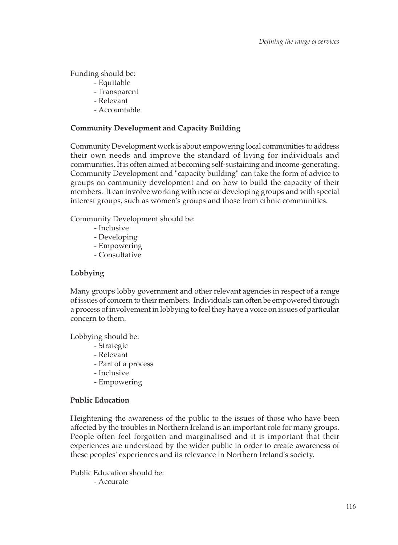Funding should be:

- Equitable
- Transparent
- Relevant
- Accountable

#### **Community Development and Capacity Building**

Community Development work is about empowering local communities to address their own needs and improve the standard of living for individuals and communities. It is often aimed at becoming self-sustaining and income-generating. Community Development and "capacity building" can take the form of advice to groups on community development and on how to build the capacity of their members. It can involve working with new or developing groups and with special interest groups, such as women's groups and those from ethnic communities.

Community Development should be:

- Inclusive
- Developing
- Empowering
- Consultative

## **Lobbying**

Many groups lobby government and other relevant agencies in respect of a range of issues of concern to their members. Individuals can often be empowered through a process of involvement in lobbying to feel they have a voice on issues of particular concern to them.

Lobbying should be:

- Strategic
- Relevant
- Part of a process
- Inclusive
- Empowering

#### **Public Education**

Heightening the awareness of the public to the issues of those who have been affected by the troubles in Northern Ireland is an important role for many groups. People often feel forgotten and marginalised and it is important that their experiences are understood by the wider public in order to create awareness of these peoples' experiences and its relevance in Northern Ireland's society.

Public Education should be:

- Accurate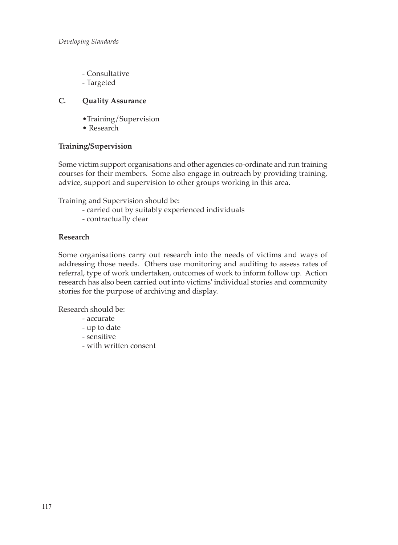- Consultative
- Targeted

#### **C. Quality Assurance**

- •Training/Supervision
- Research

#### **Training/Supervision**

Some victim support organisations and other agencies co-ordinate and run training courses for their members. Some also engage in outreach by providing training, advice, support and supervision to other groups working in this area.

Training and Supervision should be:

- carried out by suitably experienced individuals
- contractually clear

#### **Research**

Some organisations carry out research into the needs of victims and ways of addressing those needs. Others use monitoring and auditing to assess rates of referral, type of work undertaken, outcomes of work to inform follow up. Action research has also been carried out into victims' individual stories and community stories for the purpose of archiving and display.

Research should be:

- accurate
- up to date
- sensitive
- with written consent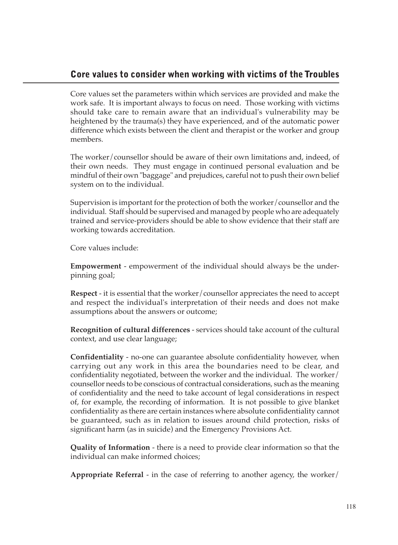# **Core values to consider when working with victims of the Troubles**

Core values set the parameters within which services are provided and make the work safe. It is important always to focus on need. Those working with victims should take care to remain aware that an individual's vulnerability may be heightened by the trauma(s) they have experienced, and of the automatic power difference which exists between the client and therapist or the worker and group members.

The worker/counsellor should be aware of their own limitations and, indeed, of their own needs. They must engage in continued personal evaluation and be mindful of their own "baggage" and prejudices, careful not to push their own belief system on to the individual.

Supervision is important for the protection of both the worker/counsellor and the individual. Staff should be supervised and managed by people who are adequately trained and service-providers should be able to show evidence that their staff are working towards accreditation.

Core values include:

**Empowerment** - empowerment of the individual should always be the underpinning goal;

**Respect** - it is essential that the worker/counsellor appreciates the need to accept and respect the individual's interpretation of their needs and does not make assumptions about the answers or outcome;

**Recognition of cultural differences** - services should take account of the cultural context, and use clear language;

**Confidentiality** - no-one can guarantee absolute confidentiality however, when carrying out any work in this area the boundaries need to be clear, and confidentiality negotiated, between the worker and the individual. The worker/ counsellor needs to be conscious of contractual considerations, such as the meaning of confidentiality and the need to take account of legal considerations in respect of, for example, the recording of information. It is not possible to give blanket confidentiality as there are certain instances where absolute confidentiality cannot be guaranteed, such as in relation to issues around child protection, risks of significant harm (as in suicide) and the Emergency Provisions Act.

**Quality of Information** - there is a need to provide clear information so that the individual can make informed choices;

**Appropriate Referral** - in the case of referring to another agency, the worker/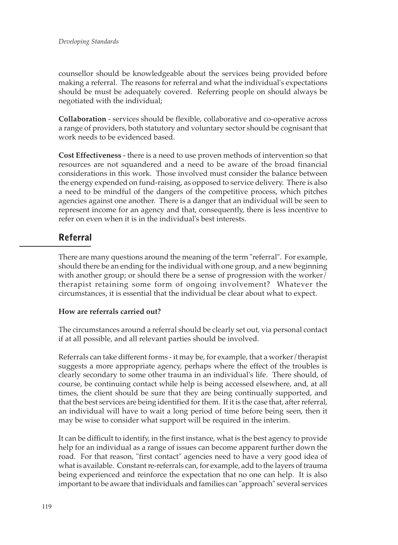counsellor should be knowledgeable about the services being provided before making a referral. The reasons for referral and what the individual's expectations should be must be adequately covered. Referring people on should always be negotiated with the individual;

**Collaboration** - services should be flexible, collaborative and co-operative across a range of providers, both statutory and voluntary sector should be cognisant that work needs to be evidenced based.

**Cost Effectiveness** - there is a need to use proven methods of intervention so that resources are not squandered and a need to be aware of the broad financial considerations in this work. Those involved must consider the balance between the energy expended on fund-raising, as opposed to service delivery. There is also a need to be mindful of the dangers of the competitive process, which pitches agencies against one another. There is a danger that an individual will be seen to represent income for an agency and that, consequently, there is less incentive to refer on even when it is in the individual's best interests.

# **Referral**

There are many questions around the meaning of the term "referral". For example, should there be an ending for the individual with one group, and a new beginning with another group; or should there be a sense of progression with the worker $\bar{l}$ therapist retaining some form of ongoing involvement? Whatever the circumstances, it is essential that the individual be clear about what to expect.

## **How are referrals carried out?**

The circumstances around a referral should be clearly set out, via personal contact if at all possible, and all relevant parties should be involved.

Referrals can take different forms - it may be, for example, that a worker/therapist suggests a more appropriate agency, perhaps where the effect of the troubles is clearly secondary to some other trauma in an individual's life. There should, of course, be continuing contact while help is being accessed elsewhere, and, at all times, the client should be sure that they are being continually supported, and that the best services are being identified for them. If it is the case that, after referral, an individual will have to wait a long period of time before being seen, then it may be wise to consider what support will be required in the interim.

It can be difficult to identify, in the first instance, what is the best agency to provide help for an individual as a range of issues can become apparent further down the road. For that reason, "first contact" agencies need to have a very good idea of what is available. Constant re-referrals can, for example, add to the layers of trauma being experienced and reinforce the expectation that no one can help. It is also important to be aware that individuals and families can "approach" several services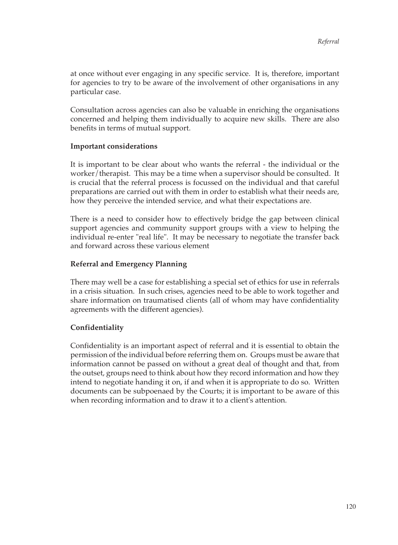at once without ever engaging in any specific service. It is, therefore, important for agencies to try to be aware of the involvement of other organisations in any particular case.

Consultation across agencies can also be valuable in enriching the organisations concerned and helping them individually to acquire new skills. There are also benefits in terms of mutual support.

#### **Important considerations**

It is important to be clear about who wants the referral - the individual or the worker/therapist. This may be a time when a supervisor should be consulted. It is crucial that the referral process is focussed on the individual and that careful preparations are carried out with them in order to establish what their needs are, how they perceive the intended service, and what their expectations are.

There is a need to consider how to effectively bridge the gap between clinical support agencies and community support groups with a view to helping the individual re-enter "real life". It may be necessary to negotiate the transfer back and forward across these various element

#### **Referral and Emergency Planning**

There may well be a case for establishing a special set of ethics for use in referrals in a crisis situation. In such crises, agencies need to be able to work together and share information on traumatised clients (all of whom may have confidentiality agreements with the different agencies).

#### **Confidentiality**

Confidentiality is an important aspect of referral and it is essential to obtain the permission of the individual before referring them on. Groups must be aware that information cannot be passed on without a great deal of thought and that, from the outset, groups need to think about how they record information and how they intend to negotiate handing it on, if and when it is appropriate to do so. Written documents can be subpoenaed by the Courts; it is important to be aware of this when recording information and to draw it to a client's attention.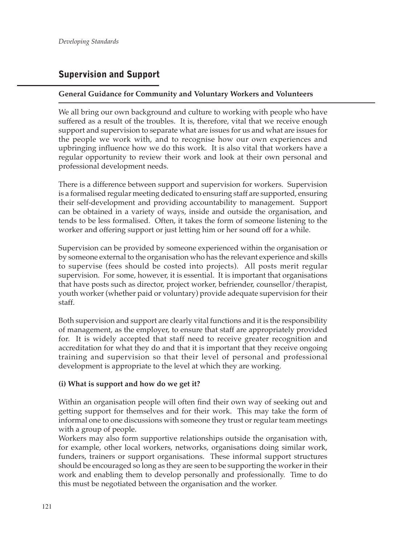# **Supervision and Support**

#### **General Guidance for Community and Voluntary Workers and Volunteers**

We all bring our own background and culture to working with people who have suffered as a result of the troubles. It is, therefore, vital that we receive enough support and supervision to separate what are issues for us and what are issues for the people we work with, and to recognise how our own experiences and upbringing influence how we do this work. It is also vital that workers have a regular opportunity to review their work and look at their own personal and professional development needs.

There is a difference between support and supervision for workers. Supervision is a formalised regular meeting dedicated to ensuring staff are supported, ensuring their self-development and providing accountability to management. Support can be obtained in a variety of ways, inside and outside the organisation, and tends to be less formalised. Often, it takes the form of someone listening to the worker and offering support or just letting him or her sound off for a while.

Supervision can be provided by someone experienced within the organisation or by someone external to the organisation who has the relevant experience and skills to supervise (fees should be costed into projects). All posts merit regular supervision. For some, however, it is essential. It is important that organisations that have posts such as director, project worker, befriender, counsellor/therapist, youth worker (whether paid or voluntary) provide adequate supervision for their staff.

Both supervision and support are clearly vital functions and it is the responsibility of management, as the employer, to ensure that staff are appropriately provided for. It is widely accepted that staff need to receive greater recognition and accreditation for what they do and that it is important that they receive ongoing training and supervision so that their level of personal and professional development is appropriate to the level at which they are working.

#### **(i) What is support and how do we get it?**

Within an organisation people will often find their own way of seeking out and getting support for themselves and for their work. This may take the form of informal one to one discussions with someone they trust or regular team meetings with a group of people.

Workers may also form supportive relationships outside the organisation with, for example, other local workers, networks, organisations doing similar work, funders, trainers or support organisations. These informal support structures should be encouraged so long as they are seen to be supporting the worker in their work and enabling them to develop personally and professionally. Time to do this must be negotiated between the organisation and the worker.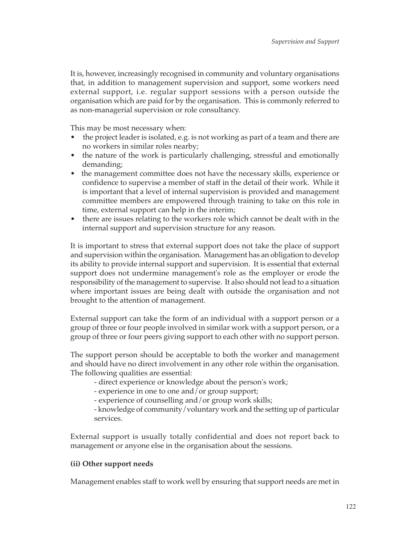It is, however, increasingly recognised in community and voluntary organisations that, in addition to management supervision and support, some workers need external support, i.e. regular support sessions with a person outside the organisation which are paid for by the organisation. This is commonly referred to as non-managerial supervision or role consultancy.

This may be most necessary when:

- the project leader is isolated, e.g. is not working as part of a team and there are no workers in similar roles nearby;
- the nature of the work is particularly challenging, stressful and emotionally demanding;
- the management committee does not have the necessary skills, experience or confidence to supervise a member of staff in the detail of their work. While it is important that a level of internal supervision is provided and management committee members are empowered through training to take on this role in time, external support can help in the interim;
- there are issues relating to the workers role which cannot be dealt with in the internal support and supervision structure for any reason.

It is important to stress that external support does not take the place of support and supervision within the organisation. Management has an obligation to develop its ability to provide internal support and supervision. It is essential that external support does not undermine management's role as the employer or erode the responsibility of the management to supervise. It also should not lead to a situation where important issues are being dealt with outside the organisation and not brought to the attention of management.

External support can take the form of an individual with a support person or a group of three or four people involved in similar work with a support person, or a group of three or four peers giving support to each other with no support person.

The support person should be acceptable to both the worker and management and should have no direct involvement in any other role within the organisation. The following qualities are essential:

- direct experience or knowledge about the person's work;
- experience in one to one and/or group support;
- experience of counselling and/or group work skills;

- knowledge of community/voluntary work and the setting up of particular services.

External support is usually totally confidential and does not report back to management or anyone else in the organisation about the sessions.

## **(ii) Other support needs**

Management enables staff to work well by ensuring that support needs are met in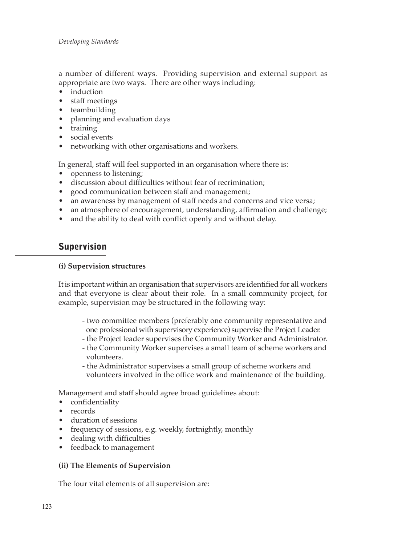a number of different ways. Providing supervision and external support as appropriate are two ways. There are other ways including:

- induction
- staff meetings
- teambuilding
- planning and evaluation days
- training
- social events
- networking with other organisations and workers.

In general, staff will feel supported in an organisation where there is:

- openness to listening;
- discussion about difficulties without fear of recrimination;
- good communication between staff and management;
- an awareness by management of staff needs and concerns and vice versa;
- an atmosphere of encouragement, understanding, affirmation and challenge;
- and the ability to deal with conflict openly and without delay.

## **Supervision**

#### **(i) Supervision structures**

It is important within an organisation that supervisors are identified for all workers and that everyone is clear about their role. In a small community project, for example, supervision may be structured in the following way:

- two committee members (preferably one community representative and one professional with supervisory experience) supervise the Project Leader.
- the Project leader supervises the Community Worker and Administrator.
- the Community Worker supervises a small team of scheme workers and volunteers.
- the Administrator supervises a small group of scheme workers and volunteers involved in the office work and maintenance of the building.

Management and staff should agree broad guidelines about:

- confidentiality
- records
- duration of sessions
- frequency of sessions, e.g. weekly, fortnightly, monthly
- dealing with difficulties
- feedback to management

#### **(ii) The Elements of Supervision**

The four vital elements of all supervision are: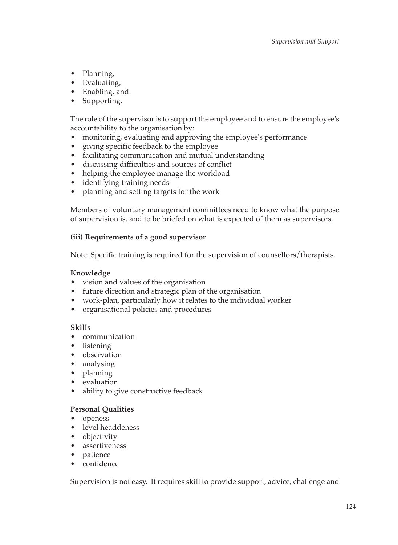- Planning,
- Evaluating,
- Enabling, and
- Supporting.

The role of the supervisor is to support the employee and to ensure the employee's accountability to the organisation by:

- monitoring, evaluating and approving the employee's performance
- giving specific feedback to the employee
- facilitating communication and mutual understanding
- discussing difficulties and sources of conflict
- helping the employee manage the workload
- identifying training needs
- planning and setting targets for the work

Members of voluntary management committees need to know what the purpose of supervision is, and to be briefed on what is expected of them as supervisors.

### **(iii) Requirements of a good supervisor**

Note: Specific training is required for the supervision of counsellors/therapists.

#### **Knowledge**

- vision and values of the organisation
- future direction and strategic plan of the organisation
- work-plan, particularly how it relates to the individual worker
- organisational policies and procedures

#### **Skills**

- communication
- listening
- observation
- analysing
- planning
- evaluation
- ability to give constructive feedback

#### **Personal Qualities**

- openess
- level headdeness
- objectivity
- assertiveness
- patience
- confidence

Supervision is not easy. It requires skill to provide support, advice, challenge and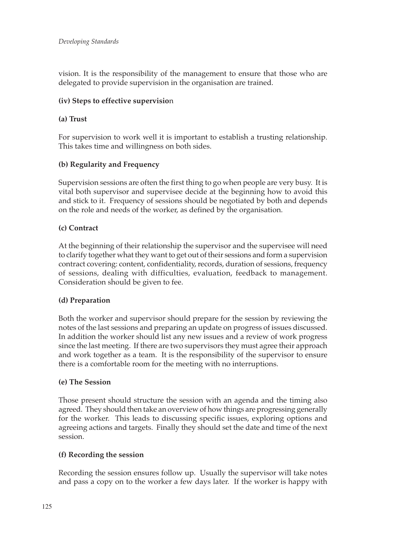vision. It is the responsibility of the management to ensure that those who are delegated to provide supervision in the organisation are trained.

#### **(iv) Steps to effective supervisio**n

#### **(a) Trust**

For supervision to work well it is important to establish a trusting relationship. This takes time and willingness on both sides.

#### **(b) Regularity and Frequency**

Supervision sessions are often the first thing to go when people are very busy. It is vital both supervisor and supervisee decide at the beginning how to avoid this and stick to it. Frequency of sessions should be negotiated by both and depends on the role and needs of the worker, as defined by the organisation.

#### **(c) Contract**

At the beginning of their relationship the supervisor and the supervisee will need to clarify together what they want to get out of their sessions and form a supervision contract covering: content, confidentiality, records, duration of sessions, frequency of sessions, dealing with difficulties, evaluation, feedback to management. Consideration should be given to fee.

#### **(d) Preparation**

Both the worker and supervisor should prepare for the session by reviewing the notes of the last sessions and preparing an update on progress of issues discussed. In addition the worker should list any new issues and a review of work progress since the last meeting. If there are two supervisors they must agree their approach and work together as a team. It is the responsibility of the supervisor to ensure there is a comfortable room for the meeting with no interruptions.

#### **(e) The Session**

Those present should structure the session with an agenda and the timing also agreed. They should then take an overview of how things are progressing generally for the worker. This leads to discussing specific issues, exploring options and agreeing actions and targets. Finally they should set the date and time of the next session.

#### **(f) Recording the session**

Recording the session ensures follow up. Usually the supervisor will take notes and pass a copy on to the worker a few days later. If the worker is happy with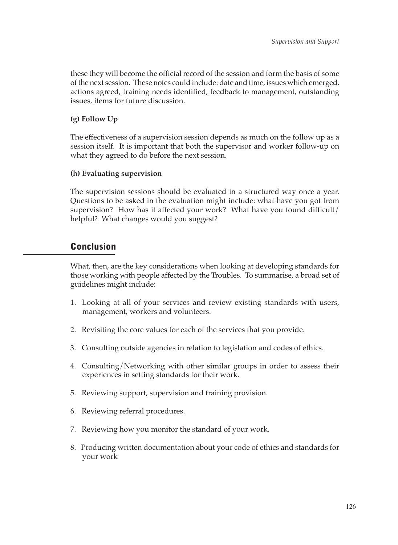these they will become the official record of the session and form the basis of some of the next session. These notes could include: date and time, issues which emerged, actions agreed, training needs identified, feedback to management, outstanding issues, items for future discussion.

### **(g) Follow Up**

The effectiveness of a supervision session depends as much on the follow up as a session itself. It is important that both the supervisor and worker follow-up on what they agreed to do before the next session.

#### **(h) Evaluating supervision**

The supervision sessions should be evaluated in a structured way once a year. Questions to be asked in the evaluation might include: what have you got from supervision? How has it affected your work? What have you found difficult/ helpful? What changes would you suggest?

## **Conclusion**

What, then, are the key considerations when looking at developing standards for those working with people affected by the Troubles. To summarise, a broad set of guidelines might include:

- 1. Looking at all of your services and review existing standards with users, management, workers and volunteers.
- 2. Revisiting the core values for each of the services that you provide.
- 3. Consulting outside agencies in relation to legislation and codes of ethics.
- 4. Consulting/Networking with other similar groups in order to assess their experiences in setting standards for their work.
- 5. Reviewing support, supervision and training provision.
- 6. Reviewing referral procedures.
- 7. Reviewing how you monitor the standard of your work.
- 8. Producing written documentation about your code of ethics and standards for your work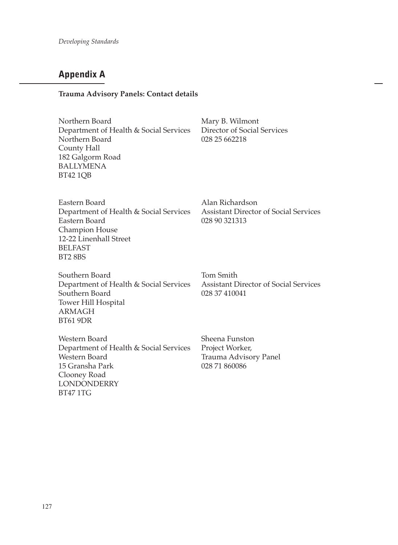# **Appendix A**

#### **Trauma Advisory Panels: Contact details**

| Northern Board                         |  |
|----------------------------------------|--|
| Department of Health & Social Services |  |
| Northern Board                         |  |
| County Hall                            |  |
| 182 Galgorm Road                       |  |
| <b>BALLYMENA</b>                       |  |
| BT42 1OB                               |  |

Mary B. Wilmont Director of Social Services 028 25 662218

| Eastern Board                          |
|----------------------------------------|
| Department of Health & Social Services |
| Eastern Board                          |
| Champion House                         |
| 12-22 Linenhall Street                 |
| <b>BELFAST</b>                         |
| <b>BT2 8BS</b>                         |

Alan Richardson Assistant Director of Social Services 028 90 321313

Southern Board<br>
Department of Health & Social Services<br>
Assistant Director of Social Services Department of Health & Social Services Assistant Dire<br>Southern Board 028 37 410041 Southern Board Tower Hill Hospital ARMAGH BT61 9DR

Western Board Sheena Funston Department of Health & Social Services Project Worker, 15 Gransha Park Clooney Road **LONDONDERRY** BT47 1TG

Trauma Advisory Panel<br>028 71 860086